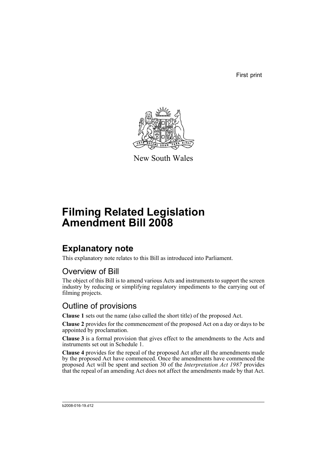First print



New South Wales

# **Filming Related Legislation Amendment Bill 2008**

## **Explanatory note**

This explanatory note relates to this Bill as introduced into Parliament.

## Overview of Bill

The object of this Bill is to amend various Acts and instruments to support the screen industry by reducing or simplifying regulatory impediments to the carrying out of filming projects.

## Outline of provisions

**Clause 1** sets out the name (also called the short title) of the proposed Act.

**Clause 2** provides for the commencement of the proposed Act on a day or days to be appointed by proclamation.

**Clause 3** is a formal provision that gives effect to the amendments to the Acts and instruments set out in Schedule 1.

**Clause 4** provides for the repeal of the proposed Act after all the amendments made by the proposed Act have commenced. Once the amendments have commenced the proposed Act will be spent and section 30 of the *Interpretation Act 1987* provides that the repeal of an amending Act does not affect the amendments made by that Act.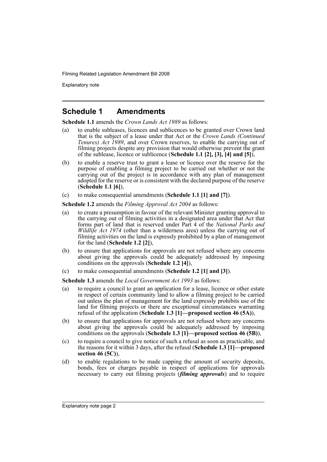Explanatory note

### **Schedule 1 Amendments**

**Schedule 1.1** amends the *Crown Lands Act 1989* as follows:

- (a) to enable subleases, licences and sublicences to be granted over Crown land that is the subject of a lease under that Act or the *Crown Lands (Continued Tenures) Act 1989*, and over Crown reserves, to enable the carrying out of filming projects despite any provision that would otherwise prevent the grant of the sublease, licence or sublicence (**Schedule 1.1 [2], [3], [4] and [5]**),
- (b) to enable a reserve trust to grant a lease or licence over the reserve for the purpose of enabling a filming project to be carried out whether or not the carrying out of the project is in accordance with any plan of management adopted for the reserve or is consistent with the declared purpose of the reserve (**Schedule 1.1 [6]**),
- (c) to make consequential amendments (**Schedule 1.1 [1] and [7]**).

**Schedule 1.2** amends the *Filming Approval Act 2004* as follows:

- (a) to create a presumption in favour of the relevant Minister granting approval to the carrying out of filming activities in a designated area under that Act that forms part of land that is reserved under Part 4 of the *National Parks and Wildlife Act 1974* (other than a wilderness area) unless the carrying out of filming activities on the land is expressly prohibited by a plan of management for the land (**Schedule 1.2 [2]**),
- (b) to ensure that applications for approvals are not refused where any concerns about giving the approvals could be adequately addressed by imposing conditions on the approvals (**Schedule 1.2 [4]**),
- (c) to make consequential amendments (**Schedule 1.2 [1] and [3]**).

**Schedule 1.3** amends the *Local Government Act 1993* as follows:

- (a) to require a council to grant an application for a lease, licence or other estate in respect of certain community land to allow a filming project to be carried out unless the plan of management for the land expressly prohibits use of the land for filming projects or there are exceptional circumstances warranting refusal of the application (**Schedule 1.3 [1]—proposed section 46 (5A)**),
- (b) to ensure that applications for approvals are not refused where any concerns about giving the approvals could be adequately addressed by imposing conditions on the approvals (**Schedule 1.3 [1]—proposed section 46 (5B)**),
- (c) to require a council to give notice of such a refusal as soon as practicable, and the reasons for it within 3 days, after the refusal (**Schedule 1.3 [1]—proposed section 46 (5C)**),
- (d) to enable regulations to be made capping the amount of security deposits, bonds, fees or charges payable in respect of applications for approvals necessary to carry out filming projects (*filming approvals*) and to require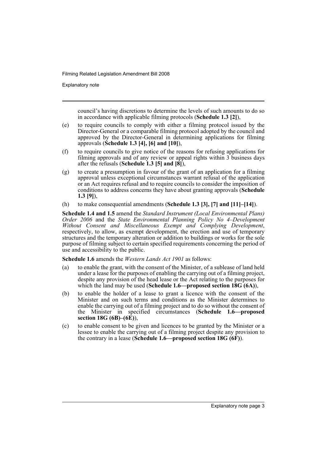Explanatory note

council's having discretions to determine the levels of such amounts to do so in accordance with applicable filming protocols (**Schedule 1.3 [2]**),

- (e) to require councils to comply with either a filming protocol issued by the Director-General or a comparable filming protocol adopted by the council and approved by the Director-General in determining applications for filming approvals (**Schedule 1.3 [4], [6] and [10]**),
- (f) to require councils to give notice of the reasons for refusing applications for filming approvals and of any review or appeal rights within 3 business days after the refusals (**Schedule 1.3 [5] and [8]**),
- (g) to create a presumption in favour of the grant of an application for a filming approval unless exceptional circumstances warrant refusal of the application or an Act requires refusal and to require councils to consider the imposition of conditions to address concerns they have about granting approvals (**Schedule 1.3 [9]**),
- (h) to make consequential amendments (**Schedule 1.3 [3], [7] and [11]–[14]**).

**Schedule 1.4 and 1.5** amend the *Standard Instrument (Local Environmental Plans) Order 2006* and the *State Environmental Planning Policy No 4–Development Without Consent and Miscellaneous Exempt and Complying Development*, respectively, to allow, as exempt development, the erection and use of temporary structures and the temporary alteration or addition to buildings or works for the sole purpose of filming subject to certain specified requirements concerning the period of use and accessibility to the public.

**Schedule 1.6** amends the *Western Lands Act 1901* as follows:

- (a) to enable the grant, with the consent of the Minister, of a sublease of land held under a lease for the purposes of enabling the carrying out of a filming project, despite any provision of the head lease or the Act relating to the purposes for which the land may be used (**Schedule 1.6—proposed section 18G (6A)**),
- (b) to enable the holder of a lease to grant a licence with the consent of the Minister and on such terms and conditions as the Minister determines to enable the carrying out of a filming project and to do so without the consent of the Minister in specified circumstances (**Schedule 1.6—proposed section 18G (6B)–(6E)**),
- (c) to enable consent to be given and licences to be granted by the Minister or a lessee to enable the carrying out of a filming project despite any provision to the contrary in a lease (**Schedule 1.6—proposed section 18G (6F)**).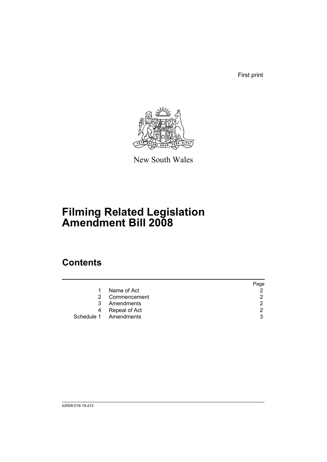First print



New South Wales

# **Filming Related Legislation Amendment Bill 2008**

## **Contents**

|                       | Page          |
|-----------------------|---------------|
| Name of Act<br>1      | 2             |
| 2 Commencement        | 2             |
| Amendments<br>3       | $\mathcal{P}$ |
| 4 Repeal of Act       | 2             |
| Schedule 1 Amendments | 3             |
|                       |               |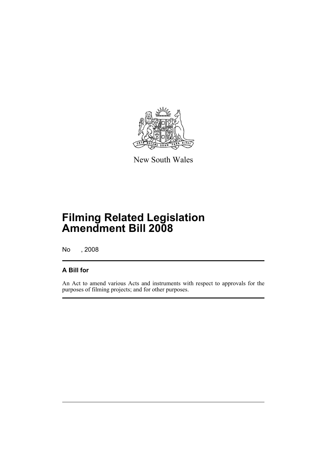

New South Wales

## **Filming Related Legislation Amendment Bill 2008**

No , 2008

### **A Bill for**

An Act to amend various Acts and instruments with respect to approvals for the purposes of filming projects; and for other purposes.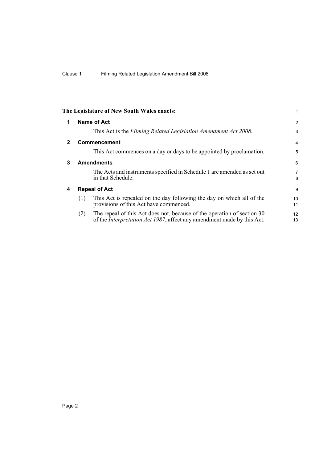<span id="page-7-3"></span><span id="page-7-2"></span><span id="page-7-1"></span><span id="page-7-0"></span>

|              |     | The Legislature of New South Wales enacts:                                                                                                                | 1                   |
|--------------|-----|-----------------------------------------------------------------------------------------------------------------------------------------------------------|---------------------|
| 1            |     | Name of Act                                                                                                                                               | $\overline{2}$      |
|              |     | This Act is the Filming Related Legislation Amendment Act 2008.                                                                                           | 3                   |
| $\mathbf{2}$ |     | <b>Commencement</b>                                                                                                                                       | $\overline{4}$      |
|              |     | This Act commences on a day or days to be appointed by proclamation.                                                                                      | 5                   |
| 3            |     | <b>Amendments</b>                                                                                                                                         | 6                   |
|              |     | The Acts and instruments specified in Schedule 1 are amended as set out<br>in that Schedule.                                                              | $\overline{7}$<br>8 |
| 4            |     | <b>Repeal of Act</b>                                                                                                                                      | 9                   |
|              | (1) | This Act is repealed on the day following the day on which all of the<br>provisions of this Act have commenced.                                           | 10<br>11            |
|              | (2) | The repeal of this Act does not, because of the operation of section 30<br>of the <i>Interpretation Act 1987</i> , affect any amendment made by this Act. | 12<br>13            |
|              |     |                                                                                                                                                           |                     |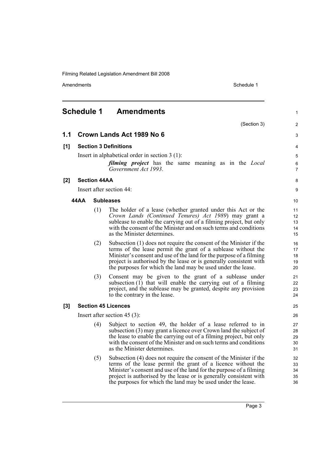<span id="page-8-0"></span>

|       | Schedule 1 |                     | Amendments                                                                                                                                                                                                                                                                                                                                       | 1                          |
|-------|------------|---------------------|--------------------------------------------------------------------------------------------------------------------------------------------------------------------------------------------------------------------------------------------------------------------------------------------------------------------------------------------------|----------------------------|
|       |            |                     | (Section 3)                                                                                                                                                                                                                                                                                                                                      | 2                          |
| 1.1   |            |                     | Crown Lands Act 1989 No 6                                                                                                                                                                                                                                                                                                                        | 3                          |
| [1]   |            |                     | <b>Section 3 Definitions</b>                                                                                                                                                                                                                                                                                                                     | 4                          |
|       |            |                     | Insert in alphabetical order in section $3(1)$ :<br><i>filming project</i> has the same meaning as in the <i>Local</i><br>Government Act 1993.                                                                                                                                                                                                   | 5<br>6<br>$\overline{7}$   |
| [2]   |            | <b>Section 44AA</b> |                                                                                                                                                                                                                                                                                                                                                  | 8                          |
|       |            |                     | Insert after section 44:                                                                                                                                                                                                                                                                                                                         | 9                          |
|       | 44 A A     |                     | <b>Subleases</b>                                                                                                                                                                                                                                                                                                                                 | 10                         |
|       |            | (1)                 | The holder of a lease (whether granted under this Act or the<br>Crown Lands (Continued Tenures) Act 1989) may grant a<br>sublease to enable the carrying out of a filming project, but only<br>with the consent of the Minister and on such terms and conditions<br>as the Minister determines.                                                  | 11<br>12<br>13<br>14<br>15 |
|       |            | (2)                 | Subsection (1) does not require the consent of the Minister if the<br>terms of the lease permit the grant of a sublease without the<br>Minister's consent and use of the land for the purpose of a filming<br>project is authorised by the lease or is generally consistent with<br>the purposes for which the land may be used under the lease. | 16<br>17<br>18<br>19<br>20 |
|       |            | (3)                 | Consent may be given to the grant of a sublease under<br>subsection (1) that will enable the carrying out of a filming<br>project, and the sublease may be granted, despite any provision<br>to the contrary in the lease.                                                                                                                       | 21<br>22<br>23<br>24       |
| $[3]$ |            |                     | <b>Section 45 Licences</b>                                                                                                                                                                                                                                                                                                                       | 25                         |
|       |            |                     | Insert after section $45(3)$ :                                                                                                                                                                                                                                                                                                                   | 26                         |
|       |            | (4)                 | Subject to section 49, the holder of a lease referred to in<br>subsection (3) may grant a licence over Crown land the subject of<br>the lease to enable the carrying out of a filming project, but only<br>with the consent of the Minister and on such terms and conditions<br>as the Minister determines.                                      | 27<br>28<br>29<br>30<br>31 |
|       |            | (5)                 | Subsection (4) does not require the consent of the Minister if the<br>terms of the lease permit the grant of a licence without the<br>Minister's consent and use of the land for the purpose of a filming<br>project is authorised by the lease or is generally consistent with<br>the purposes for which the land may be used under the lease.  | 32<br>33<br>34<br>35<br>36 |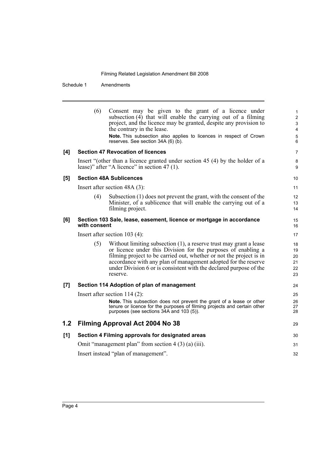Schedule 1 Amendments

|     | (6)          | Consent may be given to the grant of a licence under<br>subsection (4) that will enable the carrying out of a filming<br>project, and the licence may be granted, despite any provision to<br>the contrary in the lease.<br><b>Note.</b> This subsection also applies to licences in respect of Crown<br>reserves. See section 34A (6) (b).                       | $\mathbf{1}$<br>$\overline{c}$<br>3<br>4<br>5<br>6 |
|-----|--------------|-------------------------------------------------------------------------------------------------------------------------------------------------------------------------------------------------------------------------------------------------------------------------------------------------------------------------------------------------------------------|----------------------------------------------------|
| [4] |              | <b>Section 47 Revocation of licences</b>                                                                                                                                                                                                                                                                                                                          | 7                                                  |
|     |              | Insert "(other than a licence granted under section 45 (4) by the holder of a<br>lease)" after "A licence" in section 47 (1).                                                                                                                                                                                                                                     | 8<br>9                                             |
| [5] |              | <b>Section 48A Sublicences</b>                                                                                                                                                                                                                                                                                                                                    | 10                                                 |
|     |              | Insert after section $48A(3)$ :                                                                                                                                                                                                                                                                                                                                   | 11                                                 |
|     | (4)          | Subsection (1) does not prevent the grant, with the consent of the<br>Minister, of a sublicence that will enable the carrying out of a<br>filming project.                                                                                                                                                                                                        | 12<br>13<br>14                                     |
| [6] | with consent | Section 103 Sale, lease, easement, licence or mortgage in accordance                                                                                                                                                                                                                                                                                              | 15<br>16                                           |
|     |              | Insert after section $103(4)$ :                                                                                                                                                                                                                                                                                                                                   | 17                                                 |
|     | (5)          | Without limiting subsection $(1)$ , a reserve trust may grant a lease<br>or licence under this Division for the purposes of enabling a<br>filming project to be carried out, whether or not the project is in<br>accordance with any plan of management adopted for the reserve<br>under Division 6 or is consistent with the declared purpose of the<br>reserve. | 18<br>19<br>20<br>21<br>22<br>23                   |
| [7] |              | Section 114 Adoption of plan of management                                                                                                                                                                                                                                                                                                                        | 24                                                 |
|     |              | Insert after section $114(2)$ :                                                                                                                                                                                                                                                                                                                                   | 25                                                 |
|     |              | Note. This subsection does not prevent the grant of a lease or other<br>tenure or licence for the purposes of filming projects and certain other<br>purposes (see sections 34A and 103 (5)).                                                                                                                                                                      | 26<br>27<br>28                                     |
| 1.2 |              | Filming Approval Act 2004 No 38                                                                                                                                                                                                                                                                                                                                   | 29                                                 |
| [1] |              | Section 4 Filming approvals for designated areas                                                                                                                                                                                                                                                                                                                  | 30                                                 |
|     |              | Omit "management plan" from section 4 (3) (a) (iii).                                                                                                                                                                                                                                                                                                              | 31                                                 |
|     |              | Insert instead "plan of management".                                                                                                                                                                                                                                                                                                                              | 32                                                 |
|     |              |                                                                                                                                                                                                                                                                                                                                                                   |                                                    |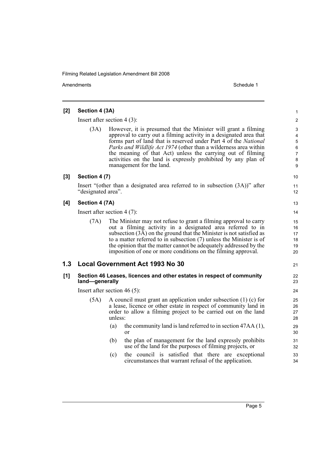| [2]   | Section 4 (3A)                |                                                                                                                                                                                                                                                                                                                                                                                                                                                 | 1                                |  |  |
|-------|-------------------------------|-------------------------------------------------------------------------------------------------------------------------------------------------------------------------------------------------------------------------------------------------------------------------------------------------------------------------------------------------------------------------------------------------------------------------------------------------|----------------------------------|--|--|
|       |                               | Insert after section $4(3)$ :                                                                                                                                                                                                                                                                                                                                                                                                                   | $\overline{\mathbf{c}}$          |  |  |
|       | (3A)                          | However, it is presumed that the Minister will grant a filming<br>approval to carry out a filming activity in a designated area that<br>forms part of land that is reserved under Part 4 of the National<br><i>Parks and Wildlife Act 1974</i> (other than a wilderness area within<br>the meaning of that Act) unless the carrying out of filming<br>activities on the land is expressly prohibited by any plan of<br>management for the land. | 3<br>4<br>5<br>6<br>7<br>8<br>9  |  |  |
| $[3]$ | Section 4 (7)                 |                                                                                                                                                                                                                                                                                                                                                                                                                                                 | 10                               |  |  |
|       | "designated area".            | Insert "(other than a designated area referred to in subsection $(3A)$ )" after                                                                                                                                                                                                                                                                                                                                                                 | 11<br>12                         |  |  |
| [4]   | Section 4 (7A)                |                                                                                                                                                                                                                                                                                                                                                                                                                                                 | 13                               |  |  |
|       | Insert after section $4(7)$ : |                                                                                                                                                                                                                                                                                                                                                                                                                                                 |                                  |  |  |
|       | (7A)                          | The Minister may not refuse to grant a filming approval to carry<br>out a filming activity in a designated area referred to in<br>subsection (3A) on the ground that the Minister is not satisfied as<br>to a matter referred to in subsection $(7)$ unless the Minister is of<br>the opinion that the matter cannot be adequately addressed by the<br>imposition of one or more conditions on the filming approval.                            | 15<br>16<br>17<br>18<br>19<br>20 |  |  |
| 1.3   |                               | <b>Local Government Act 1993 No 30</b>                                                                                                                                                                                                                                                                                                                                                                                                          | 21                               |  |  |
| [1]   | land-generally                | Section 46 Leases, licences and other estates in respect of community                                                                                                                                                                                                                                                                                                                                                                           | 22<br>23                         |  |  |
|       |                               | Insert after section 46 $(5)$ :                                                                                                                                                                                                                                                                                                                                                                                                                 | 24                               |  |  |
|       | (5A)                          | A council must grant an application under subsection $(1)$ (c) for<br>a lease, licence or other estate in respect of community land in<br>order to allow a filming project to be carried out on the land<br>unless:                                                                                                                                                                                                                             | 25<br>26<br>27<br>28             |  |  |
|       |                               | the community land is land referred to in section 47AA (1),<br>(a)<br><sub>or</sub>                                                                                                                                                                                                                                                                                                                                                             | 29<br>30                         |  |  |
|       |                               | the plan of management for the land expressly prohibits<br>(b)<br>use of the land for the purposes of filming projects, or                                                                                                                                                                                                                                                                                                                      | 31<br>32                         |  |  |
|       |                               | the council is satisfied that there are exceptional<br>(c)<br>circumstances that warrant refusal of the application.                                                                                                                                                                                                                                                                                                                            | 33<br>34                         |  |  |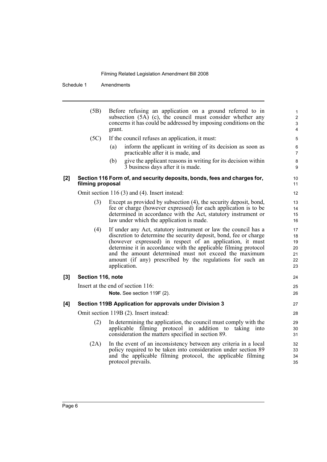Schedule 1 Amendments

|       | (5B)              | Before refusing an application on a ground referred to in<br>subsection $(5A)$ (c), the council must consider whether any<br>concerns it has could be addressed by imposing conditions on the<br>grant.                                                                                                                                                                                                    | $\mathbf{1}$<br>2<br>$\mathfrak{S}$<br>4 |
|-------|-------------------|------------------------------------------------------------------------------------------------------------------------------------------------------------------------------------------------------------------------------------------------------------------------------------------------------------------------------------------------------------------------------------------------------------|------------------------------------------|
|       | (5C)              | If the council refuses an application, it must:                                                                                                                                                                                                                                                                                                                                                            | 5                                        |
|       |                   | inform the applicant in writing of its decision as soon as<br>(a)<br>practicable after it is made, and                                                                                                                                                                                                                                                                                                     | 6<br>$\overline{7}$                      |
|       |                   | give the applicant reasons in writing for its decision within<br>(b)<br>3 business days after it is made.                                                                                                                                                                                                                                                                                                  | $\bf 8$<br>9                             |
| $[2]$ | filming proposal  | Section 116 Form of, and security deposits, bonds, fees and charges for,                                                                                                                                                                                                                                                                                                                                   | 10<br>11                                 |
|       |                   | Omit section 116 (3) and (4). Insert instead:                                                                                                                                                                                                                                                                                                                                                              | 12                                       |
|       | (3)               | Except as provided by subsection (4), the security deposit, bond,<br>fee or charge (however expressed) for each application is to be<br>determined in accordance with the Act, statutory instrument or<br>law under which the application is made.                                                                                                                                                         | 13<br>14<br>15<br>16                     |
|       | (4)               | If under any Act, statutory instrument or law the council has a<br>discretion to determine the security deposit, bond, fee or charge<br>(however expressed) in respect of an application, it must<br>determine it in accordance with the applicable filming protocol<br>and the amount determined must not exceed the maximum<br>amount (if any) prescribed by the regulations for such an<br>application. | 17<br>18<br>19<br>20<br>21<br>22<br>23   |
| [3]   | Section 116, note |                                                                                                                                                                                                                                                                                                                                                                                                            | 24                                       |
|       |                   | Insert at the end of section 116:<br>Note. See section 119F (2).                                                                                                                                                                                                                                                                                                                                           | 25<br>26                                 |
| [4]   |                   | Section 119B Application for approvals under Division 3                                                                                                                                                                                                                                                                                                                                                    | 27                                       |
|       |                   | Omit section 119B (2). Insert instead:                                                                                                                                                                                                                                                                                                                                                                     | 28                                       |
|       | (2)               | In determining the application, the council must comply with the<br>applicable filming protocol in addition to taking into<br>consideration the matters specified in section 89.                                                                                                                                                                                                                           | 29<br>30<br>31                           |
|       | (2A)              | In the event of an inconsistency between any criteria in a local<br>policy required to be taken into consideration under section 89<br>and the applicable filming protocol, the applicable filming<br>protocol prevails.                                                                                                                                                                                   | 32<br>33<br>34<br>35                     |
|       |                   |                                                                                                                                                                                                                                                                                                                                                                                                            |                                          |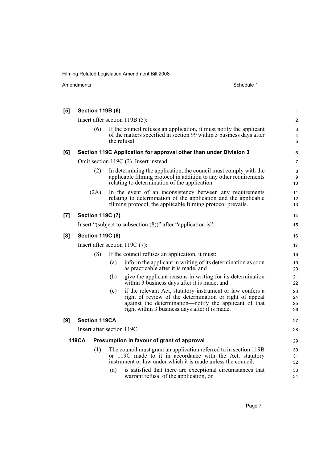| [5] |                                |                         | <b>Section 119B (6)</b> |                                                                                                                                                                                                                                                                                                       | 1                          |
|-----|--------------------------------|-------------------------|-------------------------|-------------------------------------------------------------------------------------------------------------------------------------------------------------------------------------------------------------------------------------------------------------------------------------------------------|----------------------------|
|     |                                |                         |                         | Insert after section $119B(5)$ :                                                                                                                                                                                                                                                                      | $\overline{2}$             |
|     |                                | (6)                     |                         | If the council refuses an application, it must notify the applicant<br>of the matters specified in section 99 within 3 business days after<br>the refusal.                                                                                                                                            | 3<br>4<br>$\sqrt{5}$       |
| [6] |                                |                         |                         | Section 119C Application for approval other than under Division 3                                                                                                                                                                                                                                     | 6                          |
|     |                                |                         |                         | Omit section 119C (2). Insert instead:                                                                                                                                                                                                                                                                | $\overline{7}$             |
|     |                                | (2)                     |                         | In determining the application, the council must comply with the<br>applicable filming protocol in addition to any other requirements<br>relating to determination of the application.                                                                                                                | 8<br>9<br>10               |
|     |                                | (2A)                    |                         | In the event of an inconsistency between any requirements<br>relating to determination of the application and the applicable<br>filming protocol, the applicable filming protocol prevails.                                                                                                           | 11<br>12<br>13             |
| [7] |                                | <b>Section 119C (7)</b> |                         |                                                                                                                                                                                                                                                                                                       | 14                         |
|     |                                |                         |                         | Insert "(subject to subsection (8))" after "application is".                                                                                                                                                                                                                                          | 15                         |
| [8] | <b>Section 119C (8)</b>        |                         |                         | 16                                                                                                                                                                                                                                                                                                    |                            |
|     | Insert after section 119C (7): |                         |                         | 17                                                                                                                                                                                                                                                                                                    |                            |
|     |                                | (8)                     |                         | If the council refuses an application, it must:                                                                                                                                                                                                                                                       | 18                         |
|     |                                |                         | (a)                     | inform the applicant in writing of its determination as soon<br>as practicable after it is made, and                                                                                                                                                                                                  | 19<br>20                   |
|     |                                |                         | (b)                     | give the applicant reasons in writing for its determination<br>within 3 business days after it is made, and                                                                                                                                                                                           | 21<br>22                   |
|     |                                |                         | (c)                     | if the relevant Act, statutory instrument or law confers a<br>right of review of the determination or right of appeal<br>against the determination—notify the applicant of that<br>right within 3 business days after it is made.                                                                     | 23<br>24<br>25<br>26       |
| [9] |                                | <b>Section 119CA</b>    |                         |                                                                                                                                                                                                                                                                                                       | 27                         |
|     |                                |                         |                         | Insert after section 119C:                                                                                                                                                                                                                                                                            | 28                         |
|     | 119CA                          |                         |                         | Presumption in favour of grant of approval                                                                                                                                                                                                                                                            | 29                         |
|     |                                | (1)                     | (a)                     | The council must grant an application referred to in section 119B<br>or 119C made to it in accordance with the Act, statutory<br>instrument or law under which it is made unless the council:<br>is satisfied that there are exceptional circumstances that<br>warrant refusal of the application, or | 30<br>31<br>32<br>33<br>34 |
|     |                                |                         |                         |                                                                                                                                                                                                                                                                                                       |                            |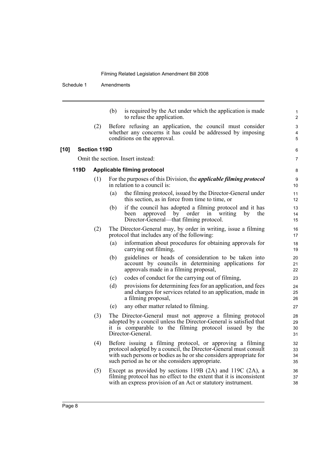Schedule 1 Amendments

(b) is required by the Act under which the application is made to refuse the application.

6 7

(2) Before refusing an application, the council must consider whether any concerns it has could be addressed by imposing conditions on the approval.

#### **[10] Section 119D**

Omit the section. Insert instead:

#### **119D Applicable filming protocol**

- (1) For the purposes of this Division, the *applicable filming protocol* in relation to a council is:
	- (a) the filming protocol, issued by the Director-General under this section, as in force from time to time, or
	- (b) if the council has adopted a filming protocol and it has been approved by order in writing by the Director-General—that filming protocol.
- (2) The Director-General may, by order in writing, issue a filming protocol that includes any of the following:
	- (a) information about procedures for obtaining approvals for carrying out filming,
	- (b) guidelines or heads of consideration to be taken into account by councils in determining applications for approvals made in a filming proposal,
	- (c) codes of conduct for the carrying out of filming,
	- (d) provisions for determining fees for an application, and fees and charges for services related to an application, made in a filming proposal,
	- (e) any other matter related to filming.
- (3) The Director-General must not approve a filming protocol adopted by a council unless the Director-General is satisfied that it is comparable to the filming protocol issued by the Director-General.
- (4) Before issuing a filming protocol, or approving a filming protocol adopted by a council, the Director-General must consult with such persons or bodies as he or she considers appropriate for such period as he or she considers appropriate.
- (5) Except as provided by sections 119B (2A) and 119C (2A), a filming protocol has no effect to the extent that it is inconsistent with an express provision of an Act or statutory instrument.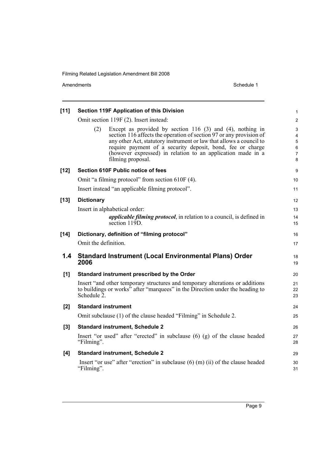| [11]   |                            | <b>Section 119F Application of this Division</b>                                                                                                                                                                                                                                                                                                               | 1                                       |
|--------|----------------------------|----------------------------------------------------------------------------------------------------------------------------------------------------------------------------------------------------------------------------------------------------------------------------------------------------------------------------------------------------------------|-----------------------------------------|
|        |                            | Omit section 119F (2). Insert instead:                                                                                                                                                                                                                                                                                                                         | $\overline{\mathbf{c}}$                 |
|        | (2)                        | Except as provided by section 116 $(3)$ and $(4)$ , nothing in<br>section 116 affects the operation of section 97 or any provision of<br>any other Act, statutory instrument or law that allows a council to<br>require payment of a security deposit, bond, fee or charge<br>(however expressed) in relation to an application made in a<br>filming proposal. | 3<br>4<br>5<br>6<br>$\overline{7}$<br>8 |
| $[12]$ |                            | <b>Section 610F Public notice of fees</b>                                                                                                                                                                                                                                                                                                                      | 9                                       |
|        |                            | Omit "a filming protocol" from section 610F (4).                                                                                                                                                                                                                                                                                                               | 10                                      |
|        |                            | Insert instead "an applicable filming protocol".                                                                                                                                                                                                                                                                                                               | 11                                      |
| $[13]$ | <b>Dictionary</b>          |                                                                                                                                                                                                                                                                                                                                                                | 12                                      |
|        |                            | Insert in alphabetical order:                                                                                                                                                                                                                                                                                                                                  | 13                                      |
|        |                            | <i>applicable filming protocol</i> , in relation to a council, is defined in<br>section 119D.                                                                                                                                                                                                                                                                  | 14<br>15                                |
| $[14]$ |                            | Dictionary, definition of "filming protocol"                                                                                                                                                                                                                                                                                                                   | 16                                      |
|        | Omit the definition.       |                                                                                                                                                                                                                                                                                                                                                                | 17                                      |
| 1.4    | 2006                       | <b>Standard Instrument (Local Environmental Plans) Order</b>                                                                                                                                                                                                                                                                                                   | 18<br>19                                |
| [1]    |                            | Standard instrument prescribed by the Order                                                                                                                                                                                                                                                                                                                    | 20                                      |
|        | Schedule 2.                | Insert "and other temporary structures and temporary alterations or additions<br>to buildings or works <sup>5</sup> after "marquees" in the Direction under the heading to                                                                                                                                                                                     | 21<br>22<br>23                          |
| [2]    | <b>Standard instrument</b> |                                                                                                                                                                                                                                                                                                                                                                | 24                                      |
|        |                            | Omit subclause (1) of the clause headed "Filming" in Schedule 2.                                                                                                                                                                                                                                                                                               | 25                                      |
| $[3]$  |                            | <b>Standard instrument, Schedule 2</b>                                                                                                                                                                                                                                                                                                                         | 26                                      |
|        | "Filming".                 | Insert "or used" after "erected" in subclause $(6)$ $(g)$ of the clause headed                                                                                                                                                                                                                                                                                 | 27<br>28                                |
| [4]    |                            | <b>Standard instrument, Schedule 2</b>                                                                                                                                                                                                                                                                                                                         | 29                                      |
|        | "Filming".                 | Insert "or use" after "erection" in subclause $(6)$ (m) (ii) of the clause headed                                                                                                                                                                                                                                                                              | 30<br>31                                |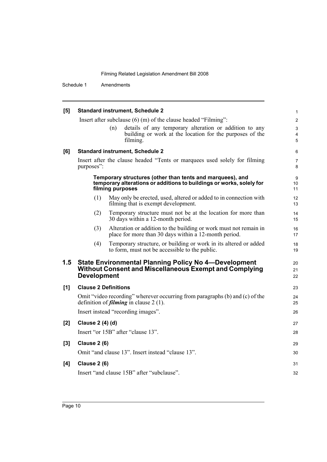Schedule 1 Amendments

| [5]   |                             |     | <b>Standard instrument, Schedule 2</b>                                                                                                                | 1              |
|-------|-----------------------------|-----|-------------------------------------------------------------------------------------------------------------------------------------------------------|----------------|
|       |                             |     | Insert after subclause $(6)$ (m) of the clause headed "Filming":                                                                                      | $\overline{c}$ |
|       |                             | (n) | details of any temporary alteration or addition to any<br>building or work at the location for the purposes of the<br>filming.                        | 3<br>4<br>5    |
| [6]   |                             |     | <b>Standard instrument, Schedule 2</b>                                                                                                                | 6              |
|       | purposes":                  |     | Insert after the clause headed "Tents or marquees used solely for filming                                                                             | 7<br>8         |
|       |                             |     | Temporary structures (other than tents and marquees), and<br>temporary alterations or additions to buildings or works, solely for<br>filming purposes | 9<br>10<br>11  |
|       | (1)                         |     | May only be erected, used, altered or added to in connection with<br>filming that is exempt development.                                              | 12<br>13       |
|       | (2)                         |     | Temporary structure must not be at the location for more than<br>30 days within a 12-month period.                                                    | 14<br>15       |
|       | (3)                         |     | Alteration or addition to the building or work must not remain in<br>place for more than 30 days within a 12-month period.                            | 16<br>17       |
|       | (4)                         |     | Temporary structure, or building or work in its altered or added<br>to form, must not be accessible to the public.                                    | 18<br>19       |
| 1.5   | <b>Development</b>          |     | <b>State Environmental Planning Policy No 4-Development</b><br><b>Without Consent and Miscellaneous Exempt and Complying</b>                          | 20<br>21<br>22 |
| [1]   | <b>Clause 2 Definitions</b> |     |                                                                                                                                                       | 23             |
|       |                             |     | Omit "video recording" wherever occurring from paragraphs (b) and (c) of the<br>definition of <i>filming</i> in clause $2(1)$ .                       | 24<br>25       |
|       |                             |     | Insert instead "recording images".                                                                                                                    | 26             |
| [2]   | <b>Clause 2 (4) (d)</b>     |     |                                                                                                                                                       | 27             |
|       |                             |     | Insert "or 15B" after "clause 13".                                                                                                                    | 28             |
| $[3]$ | <b>Clause 2 (6)</b>         |     |                                                                                                                                                       | 29             |
|       |                             |     | Omit "and clause 13". Insert instead "clause 13".                                                                                                     | 30             |
| [4]   | <b>Clause 2 (6)</b>         |     |                                                                                                                                                       | 31             |
|       |                             |     | Insert "and clause 15B" after "subclause".                                                                                                            | 32             |
|       |                             |     |                                                                                                                                                       |                |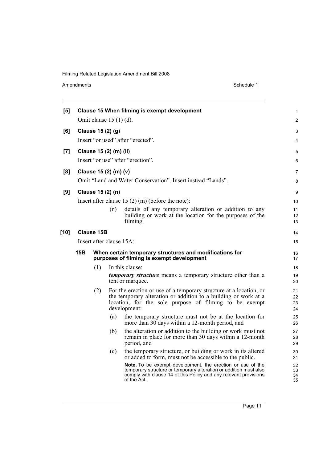| [5]    |                          |            |                          | Clause 15 When filming is exempt development                                                                                                                                                                       | 1                    |  |
|--------|--------------------------|------------|--------------------------|--------------------------------------------------------------------------------------------------------------------------------------------------------------------------------------------------------------------|----------------------|--|
|        | Omit clause $15(1)(d)$ . |            |                          |                                                                                                                                                                                                                    |                      |  |
| [6]    | Clause 15 (2) (g)        |            |                          |                                                                                                                                                                                                                    |                      |  |
|        |                          |            |                          | Insert "or used" after "erected".                                                                                                                                                                                  | 4                    |  |
| [7]    |                          |            | Clause 15 (2) (m) (ii)   |                                                                                                                                                                                                                    | 5                    |  |
|        |                          |            |                          | Insert "or use" after "erection".                                                                                                                                                                                  | 6                    |  |
| [8]    |                          |            | Clause 15 (2) (m) (v)    |                                                                                                                                                                                                                    | $\overline{7}$       |  |
|        |                          |            |                          | Omit "Land and Water Conservation". Insert instead "Lands".                                                                                                                                                        | 8                    |  |
| [9]    |                          |            | Clause 15 (2) (n)        |                                                                                                                                                                                                                    | 9                    |  |
|        |                          |            |                          | Insert after clause $15(2)$ (m) (before the note):                                                                                                                                                                 | 10                   |  |
|        |                          |            | (n)                      | details of any temporary alteration or addition to any<br>building or work at the location for the purposes of the<br>filming.                                                                                     | 11<br>12<br>13       |  |
| $[10]$ |                          | Clause 15B |                          |                                                                                                                                                                                                                    | 14                   |  |
|        |                          |            | Insert after clause 15A: |                                                                                                                                                                                                                    | 15                   |  |
|        | 15B                      |            |                          | When certain temporary structures and modifications for<br>purposes of filming is exempt development                                                                                                               | 16<br>17             |  |
|        |                          | (1)        |                          | In this clause:                                                                                                                                                                                                    | 18                   |  |
|        |                          |            |                          | <i>temporary structure</i> means a temporary structure other than a<br>tent or marquee.                                                                                                                            | 19<br>20             |  |
|        |                          | (2)        |                          | For the erection or use of a temporary structure at a location, or<br>the temporary alteration or addition to a building or work at a<br>location, for the sole purpose of filming to be exempt<br>development:    | 21<br>22<br>23<br>24 |  |
|        |                          |            | (a)                      | the temporary structure must not be at the location for<br>more than 30 days within a 12-month period, and                                                                                                         | 25<br>26             |  |
|        |                          |            | (b)                      | the alteration or addition to the building or work must not<br>remain in place for more than 30 days within a 12-month<br>period, and                                                                              | 27<br>28<br>29       |  |
|        |                          |            | (c)                      | the temporary structure, or building or work in its altered<br>or added to form, must not be accessible to the public.                                                                                             | 30<br>31             |  |
|        |                          |            |                          | Note. To be exempt development, the erection or use of the<br>temporary structure or temporary alteration or addition must also<br>comply with clause 14 of this Policy and any relevant provisions<br>of the Act. | 32<br>33<br>34<br>35 |  |